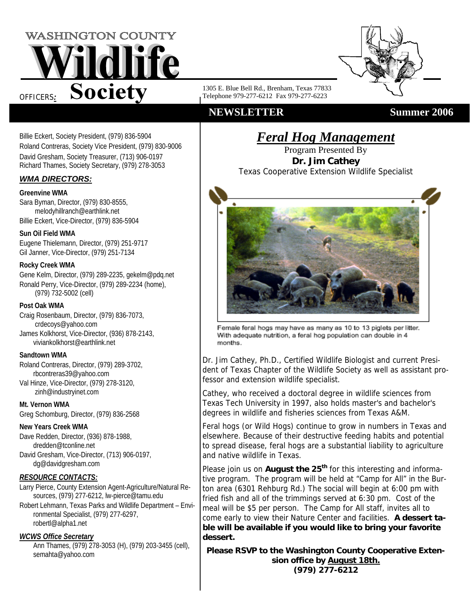



1305 E. Blue Bell Rd., Brenham, Texas 77833 Telephone 979-277-6212 Fax 979-277-6223

## **NEWSLETTER Summer 2006**

Billie Eckert, Society President, (979) 836-5904 Roland Contreras, Society Vice President, (979) 830-9006 David Gresham, Society Treasurer, (713) 906-0197 Richard Thames, Society Secretary, (979) 278-3053

## *WMA DIRECTORS:*

## **Greenvine WMA**

Sara Byman, Director, (979) 830-8555, melodyhillranch@earthlink.net Billie Eckert, Vice-Director, (979) 836-5904

## **Sun Oil Field WMA**

Eugene Thielemann, Director, (979) 251-9717 Gil Janner, Vice-Director, (979) 251-7134

## **Rocky Creek WMA**

Gene Kelm, Director, (979) 289-2235, gekelm@pdq.net Ronald Perry, Vice-Director, (979) 289-2234 (home), (979) 732-5002 (cell)

## **Post Oak WMA**

Craig Rosenbaum, Director, (979) 836-7073, crdecoys@yahoo.com James Kolkhorst, Vice-Director, (936) 878-2143, viviankolkhorst@earthlink.net

## **Sandtown WMA**

Roland Contreras, Director, (979) 289-3702, rbcontreras39@yahoo.com Val Hinze, Vice-Director, (979) 278-3120, zinh@industryinet.com

## **Mt. Vernon WMA**

Greg Schomburg, Director, (979) 836-2568

## **New Years Creek WMA**

Dave Redden, Director, (936) 878-1988, dredden@tconline.net David Gresham, Vice-Director, (713) 906-0197, dg@davidgresham.com

## *RESOURCE CONTACTS:*

Larry Pierce, County Extension Agent-Agriculture/Natural Resources, (979) 277-6212, lw-pierce@tamu.edu

Robert Lehmann, Texas Parks and Wildlife Department – Environmental Specialist, (979) 277-6297, robertl@alpha1.net

## *WCWS Office Secretary*

Ann Thames, (979) 278-3053 (H), (979) 203-3455 (cell), semahta@yahoo.com

*Feral Hog Management* 

Program Presented By **Dr. Jim Cathey**  Texas Cooperative Extension Wildlife Specialist



Female feral hogs may have as many as 10 to 13 piglets per litter. With adequate nutrition, a feral hog population can double in 4 months.

Dr. Jim Cathey, Ph.D., Certified Wildlife Biologist and current President of Texas Chapter of the Wildlife Society as well as assistant professor and extension wildlife specialist.

Cathey, who received a doctoral degree in wildlife sciences from Texas Tech University in 1997, also holds master's and bachelor's degrees in wildlife and fisheries sciences from Texas A&M.

Feral hogs (or Wild Hogs) continue to grow in numbers in Texas and elsewhere. Because of their destructive feeding habits and potential to spread disease, feral hogs are a substantial liability to agriculture and native wildlife in Texas.

Please join us on **August the 25<sup>th</sup>** for this interesting and informative program. The program will be held at "Camp for All" in the Burton area (6301 Rehburg Rd.) The social will begin at 6:00 pm with fried fish and all of the trimmings served at 6:30 pm. Cost of the meal will be \$5 per person. The Camp for All staff, invites all to come early to view their Nature Center and facilities. **A dessert table will be available if you would like to bring your favorite dessert.** 

**Please RSVP to the Washington County Cooperative Extension office by August 18th. (979) 277-6212**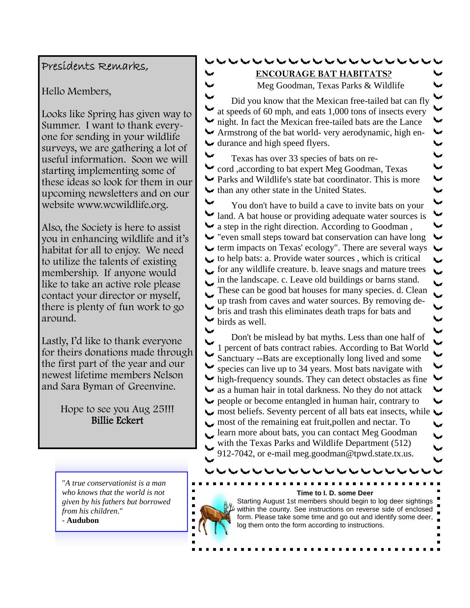# $\overline{\phantom{a}}$ くくくくく  $\overline{\phantom{a}}$  $\overline{\mathbf{v}}$ ₩ ₩ ₩ ⊾  $\overline{\phantom{0}}$  $\overline{\phantom{a}}$  $\overline{\mathbf{v}}$ ر<br>پ  $\overline{\mathbf{v}}$ ↜ ₩

## Presidents Remarks,

Hello Members,

Looks like Spring has given way to Summer. I want to thank everyone for sending in your wildlife surveys, we are gathering a lot of useful information. Soon we will starting implementing some of these ideas so look for them in our upcoming newsletters and on our website www.wcwildlife.org.

 $\blacktriangleright$ 

Also, the Society is here to assist you in enhancing wildlife and it's habitat for all to enjoy. We need to utilize the talents of existing membership. If anyone would like to take an active role please contact your director or myself, there is plenty of fun work to go around.

Lastly, I'd like to thank everyone for theirs donations made through the first part of the year and our newest lifetime members Nelson and Sara Byman of Greenvine.

> Hope to see you Aug 25!!! Billie Eckert

"*A true conservationist is a man who knows that the world is not given by his fathers but borrowed from his children*." - **Audubon**

 $\blacksquare$  $\blacksquare$  $\blacksquare$  $\blacksquare$ 

r her her her her her her her her **ENCOURAGE BAT HABITATS?**

Meg Goodman, Texas Parks & Wildlife

Did you know that the Mexican free-tailed bat can fly  $\blacktriangleright$  at speeds of 60 mph, and eats 1,000 tons of insects every ight. In fact the Mexican free-tailed bats are the Lance Armstrong of the bat world- very aerodynamic, high en- $\blacktriangleright$  durance and high speed flyers.

Texas has over 33 species of bats on re-₩ cord ,according to bat expert Meg Goodman, Texas Parks and Wildlife's state bat coordinator. This is more  $\blacktriangleright$  than any other state in the United States.

You don't have to build a cave to invite bats on your I land. A bat house or providing adequate water sources is  $\blacktriangleright$  a step in the right direction. According to Goodman, "even small steps toward bat conservation can have long  $\blacktriangleright$  term impacts on Texas' ecology". There are several ways  $\sim$  to help bats: a. Provide water sources, which is critical for any wildlife creature. b. leave snags and mature trees  $\mathbf{L}$ in the landscape. c. Leave old buildings or barns stand. These can be good bat houses for many species. d. Clean  $\overline{\phantom{a}}$ up trash from caves and water sources. By removing debris and trash this eliminates death traps for bats and ₩ birds as well.

₩ Don't be mislead by bat myths. Less than one half of 1 percent of bats contract rabies. According to Bat World Sanctuary --Bats are exceptionally long lived and some species can live up to 34 years. Most bats navigate with high-frequency sounds. They can detect obstacles as fine  $\blacktriangleright$  as a human hair in total darkness. No they do not attack riangled in human hair, contrary to people or become entangled in human hair, contrary to most beliefs. Seventy percent of all bats eat insects, while most of the remaining eat fruit, pollen and nectar. To learn more about bats, you can contact Meg Goodman with the Texas Parks and Wildlife Department (512) 912-7042, or e-mail meg.goodman@tpwd.state.tx.us.

#### . . . . . . . . . **Time to I. D. some Deer**

Starting August 1st members should begin to log deer sightings within the county. See instructions on reverse side of enclosed form. Please take some time and go out and identify some deer, log them onto the form according to instructions.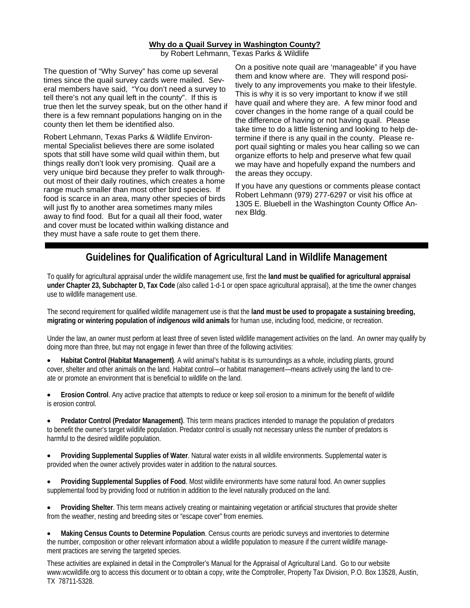#### **Why do a Quail Survey in Washington County?**

by Robert Lehmann, Texas Parks & Wildlife

The question of "Why Survey" has come up several times since the quail survey cards were mailed. Several members have said, "You don't need a survey to tell there's not any quail left in the county". If this is true then let the survey speak, but on the other hand if there is a few remnant populations hanging on in the county then let them be identified also.

Robert Lehmann, Texas Parks & Wildlife Environmental Specialist believes there are some isolated spots that still have some wild quail within them, but things really don't look very promising. Quail are a very unique bird because they prefer to walk throughout most of their daily routines, which creates a home range much smaller than most other bird species. If food is scarce in an area, many other species of birds will just fly to another area sometimes many miles away to find food. But for a quail all their food, water and cover must be located within walking distance and they must have a safe route to get them there.

On a positive note quail are 'manageable" if you have them and know where are. They will respond positively to any improvements you make to their lifestyle. This is why it is so very important to know if we still have quail and where they are. A few minor food and cover changes in the home range of a quail could be the difference of having or not having quail. Please take time to do a little listening and looking to help determine if there is any quail in the county. Please report quail sighting or males you hear calling so we can organize efforts to help and preserve what few quail we may have and hopefully expand the numbers and the areas they occupy.

If you have any questions or comments please contact Robert Lehmann (979) 277-6297 or visit his office at 1305 E. Bluebell in the Washington County Office Annex Bldg.

## **Guidelines for Qualification of Agricultural Land in Wildlife Management**

To qualify for agricultural appraisal under the wildlife management use, first the **land must be qualified for agricultural appraisal under Chapter 23, Subchapter D, Tax Code** (also called 1-d-1 or open space agricultural appraisal), at the time the owner changes use to wildlife management use.

The second requirement for qualified wildlife management use is that the **land must be used to propagate a sustaining breeding, migrating or wintering population of** *indigenous* **wild animals** for human use, including food, medicine, or recreation.

Under the law, an owner must perform at least three of seven listed wildlife management activities on the land. An owner may qualify by doing more than three, but may not engage in fewer than three of the following activities:

• **Habitat Control (Habitat Management)**. A wild animal's habitat is its surroundings as a whole, including plants, ground cover, shelter and other animals on the land. Habitat control—or habitat management—means actively using the land to create or promote an environment that is beneficial to wildlife on the land.

• **Erosion Control**. Any active practice that attempts to reduce or keep soil erosion to a minimum for the benefit of wildlife is erosion control.

• **Predator Control (Predator Management)**. This term means practices intended to manage the population of predators to benefit the owner's target wildlife population. Predator control is usually not necessary unless the number of predators is harmful to the desired wildlife population.

• **Providing Supplemental Supplies of Water**. Natural water exists in all wildlife environments. Supplemental water is provided when the owner actively provides water in addition to the natural sources.

• **Providing Supplemental Supplies of Food**. Most wildlife environments have some natural food. An owner supplies supplemental food by providing food or nutrition in addition to the level naturally produced on the land.

• **Providing Shelter**. This term means actively creating or maintaining vegetation or artificial structures that provide shelter from the weather, nesting and breeding sites or "escape cover" from enemies.

• **Making Census Counts to Determine Population**. Census counts are periodic surveys and inventories to determine the number, composition or other relevant information about a wildlife population to measure if the current wildlife management practices are serving the targeted species.

These activities are explained in detail in the Comptroller's Manual for the Appraisal of Agricultural Land. Go to our website www.wcwildlife.org to access this document or to obtain a copy, write the Comptroller, Property Tax Division, P.O. Box 13528, Austin, TX 78711-5328.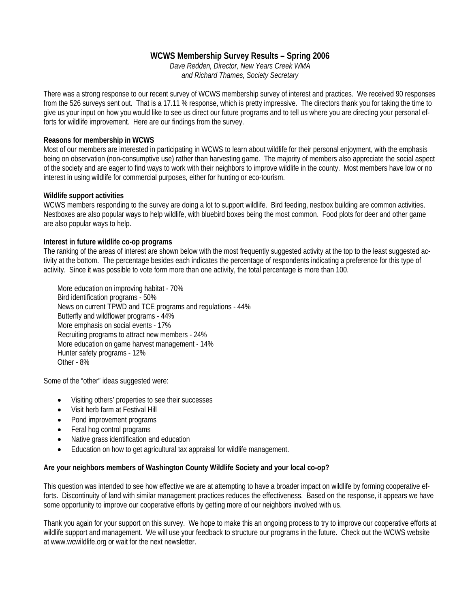## **WCWS Membership Survey Results – Spring 2006**

*Dave Redden, Director, New Years Creek WMA and Richard Thames, Society Secretary* 

There was a strong response to our recent survey of WCWS membership survey of interest and practices. We received 90 responses from the 526 surveys sent out. That is a 17.11 % response, which is pretty impressive. The directors thank you for taking the time to give us your input on how you would like to see us direct our future programs and to tell us where you are directing your personal efforts for wildlife improvement. Here are our findings from the survey.

## **Reasons for membership in WCWS**

Most of our members are interested in participating in WCWS to learn about wildlife for their personal enjoyment, with the emphasis being on observation (non-consumptive use) rather than harvesting game. The majority of members also appreciate the social aspect of the society and are eager to find ways to work with their neighbors to improve wildlife in the county. Most members have low or no interest in using wildlife for commercial purposes, either for hunting or eco-tourism.

## **Wildlife support activities**

WCWS members responding to the survey are doing a lot to support wildlife. Bird feeding, nestbox building are common activities. Nestboxes are also popular ways to help wildlife, with bluebird boxes being the most common. Food plots for deer and other game are also popular ways to help.

#### **Interest in future wildlife co-op programs**

The ranking of the areas of interest are shown below with the most frequently suggested activity at the top to the least suggested activity at the bottom. The percentage besides each indicates the percentage of respondents indicating a preference for this type of activity. Since it was possible to vote form more than one activity, the total percentage is more than 100.

More education on improving habitat - 70% Bird identification programs - 50% News on current TPWD and TCE programs and regulations - 44% Butterfly and wildflower programs - 44% More emphasis on social events - 17% Recruiting programs to attract new members - 24% More education on game harvest management - 14% Hunter safety programs - 12% Other - 8%

Some of the "other" ideas suggested were:

- Visiting others' properties to see their successes
- Visit herb farm at Festival Hill
- Pond improvement programs
- Feral hog control programs
- Native grass identification and education
- Education on how to get agricultural tax appraisal for wildlife management.

#### **Are your neighbors members of Washington County Wildlife Society and your local co-op?**

This question was intended to see how effective we are at attempting to have a broader impact on wildlife by forming cooperative efforts. Discontinuity of land with similar management practices reduces the effectiveness. Based on the response, it appears we have some opportunity to improve our cooperative efforts by getting more of our neighbors involved with us.

Thank you again for your support on this survey. We hope to make this an ongoing process to try to improve our cooperative efforts at wildlife support and management. We will use your feedback to structure our programs in the future. Check out the WCWS website at www.wcwildlife.org or wait for the next newsletter.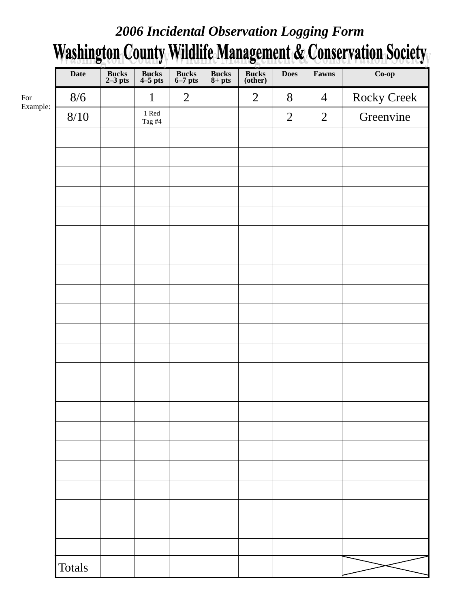## *2006 Incidental Observation Logging Form*  **Washington County Wildlife Management & Conservation Society**

| <b>Date</b>     | Bucks<br>2-3 pts | Bucks<br>4-5 pts               | Bucks<br>6–7 pts | $\frac{\text{Bucks}}{\text{8+ pts}}$ | Bucks<br>(other) | <b>Does</b>    | Fawns          | $Co$ -op           |
|-----------------|------------------|--------------------------------|------------------|--------------------------------------|------------------|----------------|----------------|--------------------|
| 8/6<br>Example: |                  | $\mathbf{1}$                   | $\overline{2}$   |                                      | $\overline{2}$   | 8              | $\overline{4}$ | <b>Rocky Creek</b> |
| $8/10$          |                  | $1\ \mathrm{Red}$<br>Tag $\#4$ |                  |                                      |                  | $\overline{2}$ | $\overline{2}$ | Greenvine          |
|                 |                  |                                |                  |                                      |                  |                |                |                    |
|                 |                  |                                |                  |                                      |                  |                |                |                    |
|                 |                  |                                |                  |                                      |                  |                |                |                    |
|                 |                  |                                |                  |                                      |                  |                |                |                    |
|                 |                  |                                |                  |                                      |                  |                |                |                    |
|                 |                  |                                |                  |                                      |                  |                |                |                    |
|                 |                  |                                |                  |                                      |                  |                |                |                    |
|                 |                  |                                |                  |                                      |                  |                |                |                    |
|                 |                  |                                |                  |                                      |                  |                |                |                    |
|                 |                  |                                |                  |                                      |                  |                |                |                    |
|                 |                  |                                |                  |                                      |                  |                |                |                    |
|                 |                  |                                |                  |                                      |                  |                |                |                    |
|                 |                  |                                |                  |                                      |                  |                |                |                    |
|                 |                  |                                |                  |                                      |                  |                |                |                    |
|                 |                  |                                |                  |                                      |                  |                |                |                    |
|                 |                  |                                |                  |                                      |                  |                |                |                    |
|                 |                  |                                |                  |                                      |                  |                |                |                    |
|                 |                  |                                |                  |                                      |                  |                |                |                    |
|                 |                  |                                |                  |                                      |                  |                |                |                    |
|                 |                  |                                |                  |                                      |                  |                |                |                    |
|                 |                  |                                |                  |                                      |                  |                |                |                    |
| <b>Totals</b>   |                  |                                |                  |                                      |                  |                |                |                    |